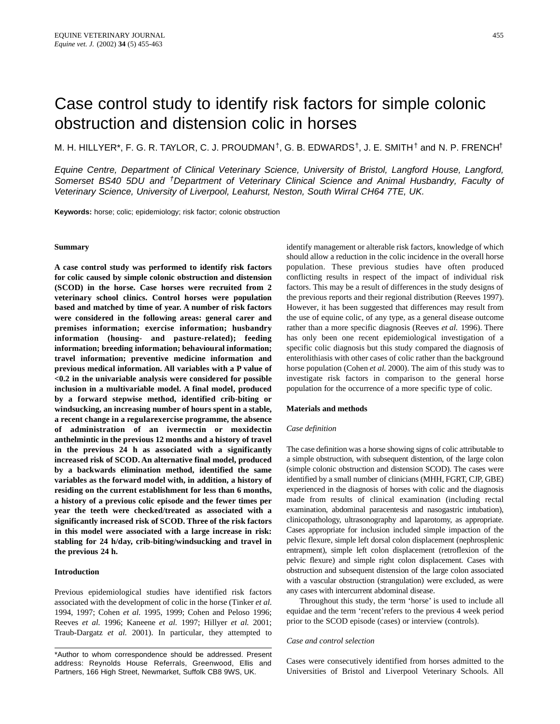## Case control study to identify risk factors for simple colonic obstruction and distension colic in horses

M. H. HILLYER\*, F. G. R. TAYLOR, C. J. PROUDMAN<sup>†</sup>, G. B. EDWARDS<sup>†</sup>, J. E. SMITH<sup>†</sup> and N. P. FRENCH<sup>†</sup>

Equine Centre, Department of Clinical Veterinary Science, University of Bristol, Langford House, Langford, Somerset BS40 5DU and <sup>†</sup>Department of Veterinary Clinical Science and Animal Husbandry, Faculty of Veterinary Science, University of Liverpool, Leahurst, Neston, South Wirral CH64 7TE, UK.

Keywords: horse; colic; epidemiology; risk factor; colonic obstruction

## **Summary**

A case control study was performed to identify risk factors for colic caused by simple colonic obstruction and distension (SCOD) in the horse. Case horses were recruited from 2 veterinary school clinics. Control horses were population based and matched by time of year. A number of risk factors were considered in the following areas: general carer and premises information; exercise information; husbandry information (housing- and pasture-related); feeding information; breeding information; behavioural information; travel information; preventive medicine information and previous medical information. All variables with a P value of  $< 0.2$  in the univariable analysis were considered for possible inclusion in a multivariable model. A final model, produced by a forward stepwise method, identified crib-biting or windsucking, an increasing number of hours spent in a stable, a recent change in a regular exercise programme, the absence of administration of an ivermectin or moxidectin anthelmintic in the previous 12 months and a history of travel in the previous 24 h as associated with a significantly increased risk of SCOD. An alternative final model, produced by a backwards elimination method, identified the same variables as the forward model with, in addition, a history of residing on the current establishment for less than 6 months, a history of a previous colic episode and the fewer times per year the teeth were checked/treated as associated with a significantly increased risk of SCOD. Three of the risk factors in this model were associated with a large increase in risk: stabling for 24 h/day, crib-biting/windsucking and travel in the previous 24 h.

## **Introduction**

Previous epidemiological studies have identified risk factors associated with the development of colic in the horse (Tinker et al. 1994, 1997; Cohen et al. 1995, 1999; Cohen and Peloso 1996; Reeves et al. 1996; Kaneene et al. 1997; Hillyer et al. 2001; Traub-Dargatz et al. 2001). In particular, they attempted to identify management or alterable risk factors, knowledge of which should allow a reduction in the colic incidence in the overall horse population. These previous studies have often produced conflicting results in respect of the impact of individual risk factors. This may be a result of differences in the study designs of the previous reports and their regional distribution (Reeves 1997). However, it has been suggested that differences may result from the use of equine colic, of any type, as a general disease outcome rather than a more specific diagnosis (Reeves et al. 1996). There has only been one recent epidemiological investigation of a specific colic diagnosis but this study compared the diagnosis of enterolithiasis with other cases of colic rather than the background horse population (Cohen et al. 2000). The aim of this study was to investigate risk factors in comparison to the general horse population for the occurrence of a more specific type of colic.

## **Materials and methods**

## Case definition

The case definition was a horse showing signs of colic attributable to a simple obstruction, with subsequent distention, of the large colon (simple colonic obstruction and distension SCOD). The cases were identified by a small number of clinicians (MHH, FGRT, CJP, GBE) experienced in the diagnosis of horses with colic and the diagnosis made from results of clinical examination (including rectal examination, abdominal paracentesis and nasogastric intubation), clinicopathology, ultrasonography and laparotomy, as appropriate. Cases appropriate for inclusion included simple impaction of the pelvic flexure, simple left dorsal colon displacement (nephrosplenic entrapment), simple left colon displacement (retroflexion of the pelvic flexure) and simple right colon displacement. Cases with obstruction and subsequent distension of the large colon associated with a vascular obstruction (strangulation) were excluded, as were any cases with intercurrent abdominal disease.

Throughout this study, the term 'horse' is used to include all equidae and the term 'recent'refers to the previous 4 week period prior to the SCOD episode (cases) or interview (controls).

#### Case and control selection

Cases were consecutively identified from horses admitted to the Universities of Bristol and Liverpool Veterinary Schools. All

<sup>\*</sup>Author to whom correspondence should be addressed. Present address: Reynolds House Referrals, Greenwood, Ellis and Partners, 166 High Street, Newmarket, Suffolk CB8 9WS, UK.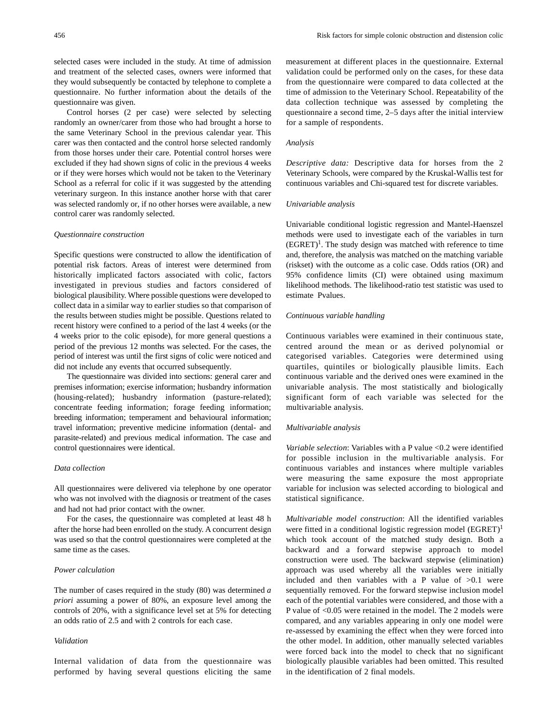selected cases were included in the study. At time of admission and treatment of the selected cases, owners were informed that they would subsequently be contacted by telephone to complete a questionnaire. No further information about the details of the questionnaire was given.

Control horses (2 per case) were selected by selecting randomly an owner/carer from those who had brought a horse to the same Veterinary School in the previous calendar year. This carer was then contacted and the control horse selected randomly from those horses under their care. Potential control horses were excluded if they had shown signs of colic in the previous 4 weeks or if they were horses which would not be taken to the Veterinary School as a referral for colic if it was suggested by the attending veterinary surgeon. In this instance another horse with that carer was selected randomly or, if no other horses were available, a new control carer was randomly selected.

## Questionnaire construction

Specific questions were constructed to allow the identification of potential risk factors. Areas of interest were determined from historically implicated factors associated with colic, factors investigated in previous studies and factors considered of biological plausibility. Where possible questions were developed to collect data in a similar way to earlier studies so that comparison of the results between studies might be possible. Questions related to recent history were confined to a period of the last 4 weeks (or the 4 weeks prior to the colic episode), for more general questions a period of the previous 12 months was selected. For the cases, the period of interest was until the first signs of colic were noticed and did not include any events that occurred subsequently.

The questionnaire was divided into sections: general carer and premises information; exercise information; husbandry information (housing-related); husbandry information (pasture-related); concentrate feeding information; forage feeding information; breeding information; temperament and behavioural information; travel information; preventive medicine information (dental- and parasite-related) and previous medical information. The case and control questionnaires were identical.

## Data collection

All questionnaires were delivered via telephone by one operator who was not involved with the diagnosis or treatment of the cases and had not had prior contact with the owner.

For the cases, the questionnaire was completed at least 48 h after the horse had been enrolled on the study. A concurrent design was used so that the control questionnaires were completed at the same time as the cases.

## Power calculation

The number of cases required in the study  $(80)$  was determined a priori assuming a power of 80%, an exposure level among the controls of 20%, with a significance level set at 5% for detecting an odds ratio of 2.5 and with 2 controls for each case.

## Validation

Internal validation of data from the questionnaire was performed by having several questions eliciting the same measurement at different places in the questionnaire. External validation could be performed only on the cases, for these data from the questionnaire were compared to data collected at the time of admission to the Veterinary School. Repeatability of the data collection technique was assessed by completing the questionnaire a second time, 2–5 days after the initial interview for a sample of respondents.

## Analysis

Descriptive data: Descriptive data for horses from the 2 Veterinary Schools, were compared by the Kruskal-Wallis test for continuous variables and Chi-squared test for discrete variables.

## Univariable analysis

Univariable conditional logistic regression and Mantel-Haenszel methods were used to investigate each of the variables in turn  $(EGRET)^1$ . The study design was matched with reference to time and, therefore, the analysis was matched on the matching variable (riskset) with the outcome as a colic case. Odds ratios (OR) and 95% confidence limits (CI) were obtained using maximum likelihood methods. The likelihood-ratio test statistic was used to estimate Pvalues.

## Continuous variable handling

Continuous variables were examined in their continuous state. centred around the mean or as derived polynomial or categorised variables. Categories were determined using quartiles, quintiles or biologically plausible limits. Each continuous variable and the derived ones were examined in the univariable analysis. The most statistically and biologically significant form of each variable was selected for the multivariable analysis.

## Multivariable analysis

Variable selection: Variables with a P value <0.2 were identified for possible inclusion in the multivariable analysis. For continuous variables and instances where multiple variables were measuring the same exposure the most appropriate variable for inclusion was selected according to biological and statistical significance.

Multivariable model construction: All the identified variables were fitted in a conditional logistic regression model  $(EGRET)^1$ which took account of the matched study design. Both a backward and a forward stepwise approach to model construction were used. The backward stepwise (elimination) approach was used whereby all the variables were initially included and then variables with a P value of >0.1 were sequentially removed. For the forward stepwise inclusion model each of the potential variables were considered, and those with a P value of  $< 0.05$  were retained in the model. The 2 models were compared, and any variables appearing in only one model were re-assessed by examining the effect when they were forced into the other model. In addition, other manually selected variables were forced back into the model to check that no significant biologically plausible variables had been omitted. This resulted in the identification of 2 final models.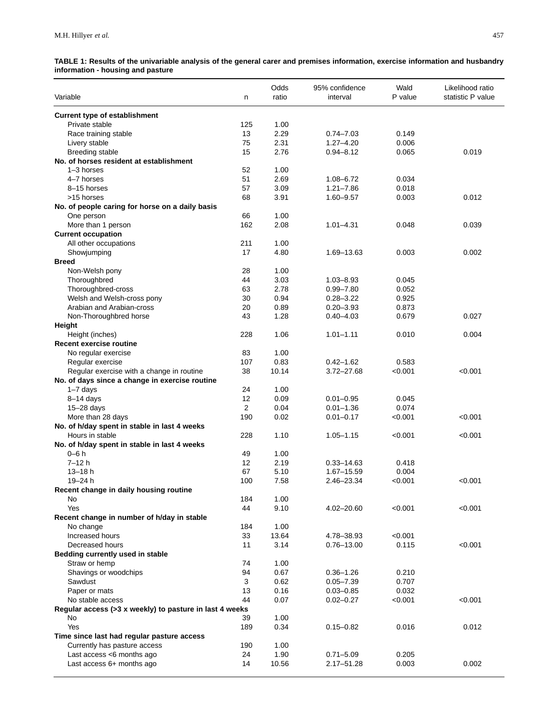# TABLE 1: Results of the univariable analysis of the general carer and premises information, exercise information and husbandry information - housing and pasture

| Variable                                                | n              | Odds<br>ratio | 95% confidence<br>interval     | Wald<br>P value | Likelihood ratio<br>statistic P value |
|---------------------------------------------------------|----------------|---------------|--------------------------------|-----------------|---------------------------------------|
|                                                         |                |               |                                |                 |                                       |
| <b>Current type of establishment</b>                    |                |               |                                |                 |                                       |
| Private stable                                          | 125            | 1.00          |                                |                 |                                       |
| Race training stable                                    | 13<br>75       | 2.29<br>2.31  | $0.74 - 7.03$                  | 0.149           |                                       |
| Livery stable<br>Breeding stable                        | 15             | 2.76          | $1.27 - 4.20$<br>$0.94 - 8.12$ | 0.006<br>0.065  | 0.019                                 |
| No. of horses resident at establishment                 |                |               |                                |                 |                                       |
| $1-3$ horses                                            | 52             | 1.00          |                                |                 |                                       |
| 4-7 horses                                              | 51             | 2.69          | $1.08 - 6.72$                  | 0.034           |                                       |
| 8-15 horses                                             | 57             | 3.09          | $1.21 - 7.86$                  | 0.018           |                                       |
| >15 horses                                              | 68             | 3.91          | $1.60 - 9.57$                  | 0.003           | 0.012                                 |
| No. of people caring for horse on a daily basis         |                |               |                                |                 |                                       |
| One person                                              | 66             | 1.00          |                                |                 |                                       |
| More than 1 person                                      | 162            | 2.08          | $1.01 - 4.31$                  | 0.048           | 0.039                                 |
| <b>Current occupation</b>                               |                |               |                                |                 |                                       |
| All other occupations                                   | 211            | 1.00          |                                |                 |                                       |
| Showjumping                                             | 17             | 4.80          | 1.69-13.63                     | 0.003           | 0.002                                 |
| <b>Breed</b>                                            |                |               |                                |                 |                                       |
| Non-Welsh pony                                          | 28             | 1.00          |                                |                 |                                       |
| Thoroughbred                                            | 44             | 3.03          | $1.03 - 8.93$                  | 0.045           |                                       |
| Thoroughbred-cross                                      | 63             | 2.78          | $0.99 - 7.80$                  | 0.052           |                                       |
| Welsh and Welsh-cross pony                              | 30             | 0.94          | $0.28 - 3.22$                  | 0.925           |                                       |
| Arabian and Arabian-cross                               | 20             | 0.89          | $0.20 - 3.93$                  | 0.873           |                                       |
| Non-Thoroughbred horse                                  | 43             | 1.28          | $0.40 - 4.03$                  | 0.679           | 0.027                                 |
| Height                                                  |                |               |                                |                 |                                       |
| Height (inches)                                         | 228            | 1.06          | $1.01 - 1.11$                  | 0.010           | 0.004                                 |
| <b>Recent exercise routine</b>                          |                |               |                                |                 |                                       |
| No regular exercise                                     | 83             | 1.00          |                                |                 |                                       |
| Regular exercise                                        | 107            | 0.83          | $0.42 - 1.62$                  | 0.583           |                                       |
| Regular exercise with a change in routine               | 38             | 10.14         | 3.72-27.68                     | < 0.001         | < 0.001                               |
| No. of days since a change in exercise routine          |                |               |                                |                 |                                       |
| $1 - 7$ days                                            | 24             | 1.00          |                                |                 |                                       |
| $8-14$ days                                             | 12             | 0.09          | $0.01 - 0.95$                  | 0.045           |                                       |
| 15-28 days                                              | $\overline{2}$ | 0.04          | $0.01 - 1.36$                  | 0.074           |                                       |
| More than 28 days                                       | 190            | 0.02          | $0.01 - 0.17$                  | <0.001          | < 0.001                               |
| No. of h/day spent in stable in last 4 weeks            |                |               |                                |                 |                                       |
| Hours in stable                                         | 228            | 1.10          | $1.05 - 1.15$                  | < 0.001         | < 0.001                               |
| No. of h/day spent in stable in last 4 weeks            |                |               |                                |                 |                                       |
| $0 - 6 h$                                               | 49             | 1.00          |                                |                 |                                       |
| $7 - 12h$                                               | 12             | 2.19          | $0.33 - 14.63$                 | 0.418           |                                       |
| 13–18 h                                                 | 67             | 5.10          | 1.67-15.59                     | 0.004           |                                       |
| 19–24 h                                                 | 100            | 7.58          | 2.46-23.34                     | <0.001          | < 0.001                               |
| Recent change in daily housing routine                  |                |               |                                |                 |                                       |
| No                                                      | 184            | 1.00          |                                |                 |                                       |
| Yes                                                     | 44             | 9.10          | 4.02-20.60                     | < 0.001         | < 0.001                               |
| Recent change in number of h/day in stable              |                |               |                                |                 |                                       |
| No change                                               | 184            | 1.00          |                                |                 |                                       |
| Increased hours                                         | 33             | 13.64         | 4.78-38.93                     | < 0.001         |                                       |
| Decreased hours                                         | 11             | 3.14          | 0.76-13.00                     | 0.115           | < 0.001                               |
| Bedding currently used in stable                        |                |               |                                |                 |                                       |
| Straw or hemp                                           | 74             | 1.00          |                                |                 |                                       |
| Shavings or woodchips                                   | 94             | 0.67          | $0.36 - 1.26$                  | 0.210           |                                       |
| Sawdust                                                 | 3              | 0.62          | $0.05 - 7.39$                  | 0.707           |                                       |
| Paper or mats                                           | 13             | 0.16          | $0.03 - 0.85$                  | 0.032           |                                       |
| No stable access                                        | 44             | 0.07          | $0.02 - 0.27$                  | < 0.001         | < 0.001                               |
| Regular access (>3 x weekly) to pasture in last 4 weeks |                |               |                                |                 |                                       |
| No<br>Yes                                               | 39             | 1.00          |                                |                 |                                       |
|                                                         | 189            | 0.34          | $0.15 - 0.82$                  | 0.016           | 0.012                                 |
| Time since last had regular pasture access              |                |               |                                |                 |                                       |
| Currently has pasture access                            | 190            | 1.00          |                                |                 |                                       |
| Last access <6 months ago                               | 24             | 1.90          | $0.71 - 5.09$                  | 0.205           |                                       |
| Last access 6+ months ago                               | 14             | 10.56         | 2.17-51.28                     | 0.003           | 0.002                                 |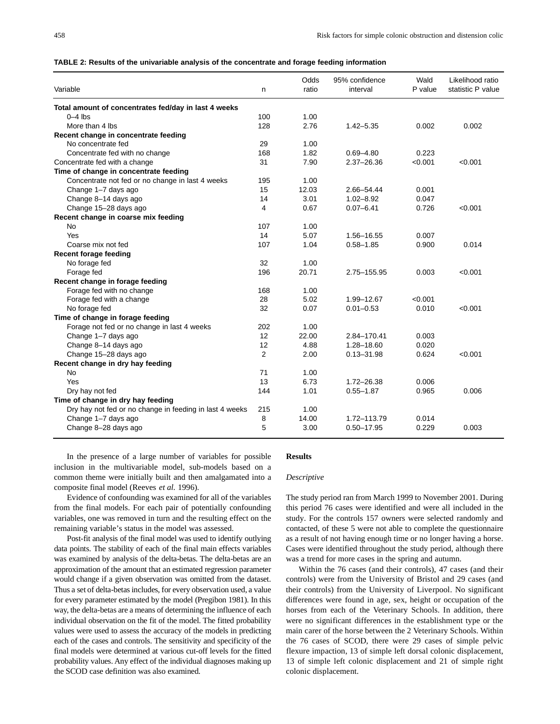#### TABLE 2: Results of the univariable analysis of the concentrate and forage feeding information

| Variable                                                | n              | Odds<br>ratio | 95% confidence<br>interval | Wald<br>P value | Likelihood ratio<br>statistic P value |
|---------------------------------------------------------|----------------|---------------|----------------------------|-----------------|---------------------------------------|
| Total amount of concentrates fed/day in last 4 weeks    |                |               |                            |                 |                                       |
| $0 - 4$ lbs                                             | 100            | 1.00          |                            |                 |                                       |
| More than 4 lbs                                         | 128            | 2.76          | $1.42 - 5.35$              | 0.002           | 0.002                                 |
| Recent change in concentrate feeding                    |                |               |                            |                 |                                       |
| No concentrate fed                                      | 29             | 1.00          |                            |                 |                                       |
| Concentrate fed with no change                          | 168            | 1.82          | $0.69 - 4.80$              | 0.223           |                                       |
| Concentrate fed with a change                           | 31             | 7.90          | $2.37 - 26.36$             | < 0.001         | < 0.001                               |
| Time of change in concentrate feeding                   |                |               |                            |                 |                                       |
| Concentrate not fed or no change in last 4 weeks        | 195            | 1.00          |                            |                 |                                       |
| Change 1-7 days ago                                     | 15             | 12.03         | 2.66-54.44                 | 0.001           |                                       |
| Change 8-14 days ago                                    | 14             | 3.01          | $1.02 - 8.92$              | 0.047           |                                       |
| Change 15-28 days ago                                   | 4              | 0.67          | $0.07 - 6.41$              | 0.726           | < 0.001                               |
| Recent change in coarse mix feeding                     |                |               |                            |                 |                                       |
| No                                                      | 107            | 1.00          |                            |                 |                                       |
| Yes                                                     | 14             | 5.07          | 1.56-16.55                 | 0.007           |                                       |
| Coarse mix not fed                                      | 107            | 1.04          | $0.58 - 1.85$              | 0.900           | 0.014                                 |
| <b>Recent forage feeding</b>                            |                |               |                            |                 |                                       |
| No forage fed                                           | 32             | 1.00          |                            |                 |                                       |
| Forage fed                                              | 196            | 20.71         | 2.75-155.95                | 0.003           | < 0.001                               |
| Recent change in forage feeding                         |                |               |                            |                 |                                       |
| Forage fed with no change                               | 168            | 1.00          |                            |                 |                                       |
| Forage fed with a change                                | 28             | 5.02          | 1.99-12.67                 | < 0.001         |                                       |
| No forage fed                                           | 32             | 0.07          | $0.01 - 0.53$              | 0.010           | < 0.001                               |
| Time of change in forage feeding                        |                |               |                            |                 |                                       |
| Forage not fed or no change in last 4 weeks             | 202            | 1.00          |                            |                 |                                       |
| Change 1-7 days ago                                     | 12             | 22.00         | 2.84-170.41                | 0.003           |                                       |
| Change 8-14 days ago                                    | 12             | 4.88          | 1.28-18.60                 | 0.020           |                                       |
| Change 15-28 days ago                                   | $\overline{2}$ | 2.00          | $0.13 - 31.98$             | 0.624           | < 0.001                               |
| Recent change in dry hay feeding                        |                |               |                            |                 |                                       |
| No                                                      | 71             | 1.00          |                            |                 |                                       |
| Yes                                                     | 13             | 6.73          | 1.72-26.38                 | 0.006           |                                       |
| Dry hay not fed                                         | 144            | 1.01          | $0.55 - 1.87$              | 0.965           | 0.006                                 |
| Time of change in dry hay feeding                       |                |               |                            |                 |                                       |
| Dry hay not fed or no change in feeding in last 4 weeks | 215            | 1.00          |                            |                 |                                       |
| Change 1-7 days ago                                     | 8              | 14.00         | 1.72-113.79                | 0.014           |                                       |
| Change 8-28 days ago                                    | 5              | 3.00          | $0.50 - 17.95$             | 0.229           | 0.003                                 |

In the presence of a large number of variables for possible inclusion in the multivariable model, sub-models based on a common theme were initially built and then amalgamated into a composite final model (Reeves et al. 1996).

Evidence of confounding was examined for all of the variables from the final models. For each pair of potentially confounding variables, one was removed in turn and the resulting effect on the remaining variable's status in the model was assessed.

Post-fit analysis of the final model was used to identify outlying data points. The stability of each of the final main effects variables was examined by analysis of the delta-betas. The delta-betas are an approximation of the amount that an estimated regression parameter would change if a given observation was omitted from the dataset. Thus a set of delta-betas includes, for every observation used, a value for every parameter estimated by the model (Pregibon 1981). In this way, the delta-betas are a means of determining the influence of each individual observation on the fit of the model. The fitted probability values were used to assess the accuracy of the models in predicting each of the cases and controls. The sensitivity and specificity of the final models were determined at various cut-off levels for the fitted probability values. Any effect of the individual diagnoses making up the SCOD case definition was also examined.

#### **Results**

#### Descriptive

The study period ran from March 1999 to November 2001. During this period 76 cases were identified and were all included in the study. For the controls 157 owners were selected randomly and contacted, of these 5 were not able to complete the questionnaire as a result of not having enough time or no longer having a horse. Cases were identified throughout the study period, although there was a trend for more cases in the spring and autumn.

Within the 76 cases (and their controls), 47 cases (and their controls) were from the University of Bristol and 29 cases (and their controls) from the University of Liverpool. No significant differences were found in age, sex, height or occupation of the horses from each of the Veterinary Schools. In addition, there were no significant differences in the establishment type or the main carer of the horse between the 2 Veterinary Schools. Within the 76 cases of SCOD, there were 29 cases of simple pelvic flexure impaction, 13 of simple left dorsal colonic displacement, 13 of simple left colonic displacement and 21 of simple right colonic displacement.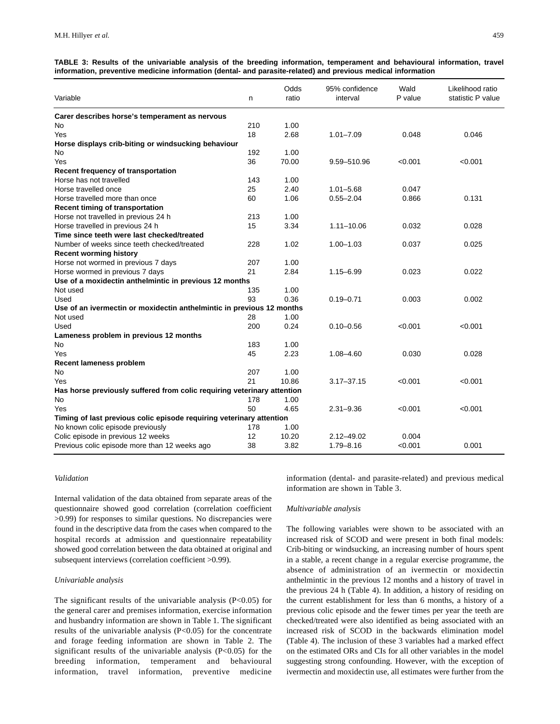| TABLE 3: Results of the univariable analysis of the breeding information, temperament and behavioural information, travel |  |  |  |
|---------------------------------------------------------------------------------------------------------------------------|--|--|--|
| information, preventive medicine information (dental- and parasite-related) and previous medical information              |  |  |  |

| Variable                                                                | n   | Odds<br>ratio | 95% confidence<br>interval | Wald<br>P value | Likelihood ratio<br>statistic P value |
|-------------------------------------------------------------------------|-----|---------------|----------------------------|-----------------|---------------------------------------|
| Carer describes horse's temperament as nervous                          |     |               |                            |                 |                                       |
| No                                                                      | 210 | 1.00          |                            |                 |                                       |
| Yes                                                                     | 18  | 2.68          | $1.01 - 7.09$              | 0.048           | 0.046                                 |
| Horse displays crib-biting or windsucking behaviour                     |     |               |                            |                 |                                       |
| No                                                                      | 192 | 1.00          |                            |                 |                                       |
| Yes                                                                     | 36  | 70.00         | 9.59-510.96                | < 0.001         | < 0.001                               |
| Recent frequency of transportation                                      |     |               |                            |                 |                                       |
| Horse has not travelled                                                 | 143 | 1.00          |                            |                 |                                       |
| Horse travelled once                                                    | 25  | 2.40          | $1.01 - 5.68$              | 0.047           |                                       |
| Horse travelled more than once                                          | 60  | 1.06          | $0.55 - 2.04$              | 0.866           | 0.131                                 |
| Recent timing of transportation                                         |     |               |                            |                 |                                       |
| Horse not travelled in previous 24 h                                    | 213 | 1.00          |                            |                 |                                       |
| Horse travelled in previous 24 h                                        | 15  | 3.34          | $1.11 - 10.06$             | 0.032           | 0.028                                 |
| Time since teeth were last checked/treated                              |     |               |                            |                 |                                       |
| Number of weeks since teeth checked/treated                             | 228 | 1.02          | $1.00 - 1.03$              | 0.037           | 0.025                                 |
| <b>Recent worming history</b>                                           |     |               |                            |                 |                                       |
| Horse not wormed in previous 7 days                                     | 207 | 1.00          |                            |                 |                                       |
| Horse wormed in previous 7 days                                         | 21  | 2.84          | $1.15 - 6.99$              | 0.023           | 0.022                                 |
| Use of a moxidectin anthelmintic in previous 12 months                  |     |               |                            |                 |                                       |
| Not used                                                                | 135 | 1.00          |                            |                 |                                       |
| Used                                                                    | 93  | 0.36          | $0.19 - 0.71$              | 0.003           | 0.002                                 |
| Use of an ivermectin or moxidectin anthelmintic in previous 12 months   |     |               |                            |                 |                                       |
| Not used                                                                | 28  | 1.00          |                            |                 |                                       |
| Used                                                                    | 200 | 0.24          | $0.10 - 0.56$              | < 0.001         | < 0.001                               |
| Lameness problem in previous 12 months                                  |     |               |                            |                 |                                       |
| <b>No</b>                                                               | 183 | 1.00          |                            |                 |                                       |
| Yes                                                                     | 45  | 2.23          | 1.08-4.60                  | 0.030           | 0.028                                 |
| Recent lameness problem                                                 |     |               |                            |                 |                                       |
| No                                                                      | 207 | 1.00          |                            |                 |                                       |
| Yes                                                                     | 21  | 10.86         | $3.17 - 37.15$             | < 0.001         | < 0.001                               |
| Has horse previously suffered from colic requiring veterinary attention |     |               |                            |                 |                                       |
| No                                                                      | 178 | 1.00          |                            |                 |                                       |
| Yes                                                                     | 50  | 4.65          | $2.31 - 9.36$              | < 0.001         | < 0.001                               |
| Timing of last previous colic episode requiring veterinary attention    |     |               |                            |                 |                                       |
| No known colic episode previously                                       | 178 | 1.00          |                            |                 |                                       |
| Colic episode in previous 12 weeks                                      | 12  | 10.20         | 2.12-49.02                 | 0.004           |                                       |
| Previous colic episode more than 12 weeks ago                           | 38  | 3.82          | $1.79 - 8.16$              | < 0.001         | 0.001                                 |

#### Validation

Internal validation of the data obtained from separate areas of the questionnaire showed good correlation (correlation coefficient >0.99) for responses to similar questions. No discrepancies were found in the descriptive data from the cases when compared to the hospital records at admission and questionnaire repeatability showed good correlation between the data obtained at original and subsequent interviews (correlation coefficient >0.99).

## Univariable analysis

The significant results of the univariable analysis  $(P<0.05)$  for the general carer and premises information, exercise information and husbandry information are shown in Table 1. The significant results of the univariable analysis  $(P<0.05)$  for the concentrate and forage feeding information are shown in Table 2. The significant results of the univariable analysis  $(P<0.05)$  for the information, temperament breeding and behavioural information, travel information, preventive medicine

information (dental- and parasite-related) and previous medical information are shown in Table 3.

## Multivariable analysis

The following variables were shown to be associated with an increased risk of SCOD and were present in both final models: Crib-biting or windsucking, an increasing number of hours spent in a stable, a recent change in a regular exercise programme, the absence of administration of an ivermectin or moxidectin anthelmintic in the previous 12 months and a history of travel in the previous 24 h (Table 4). In addition, a history of residing on the current establishment for less than 6 months, a history of a previous colic episode and the fewer times per year the teeth are checked/treated were also identified as being associated with an increased risk of SCOD in the backwards elimination model (Table 4). The inclusion of these 3 variables had a marked effect on the estimated ORs and CIs for all other variables in the model suggesting strong confounding. However, with the exception of ivermectin and moxidectin use, all estimates were further from the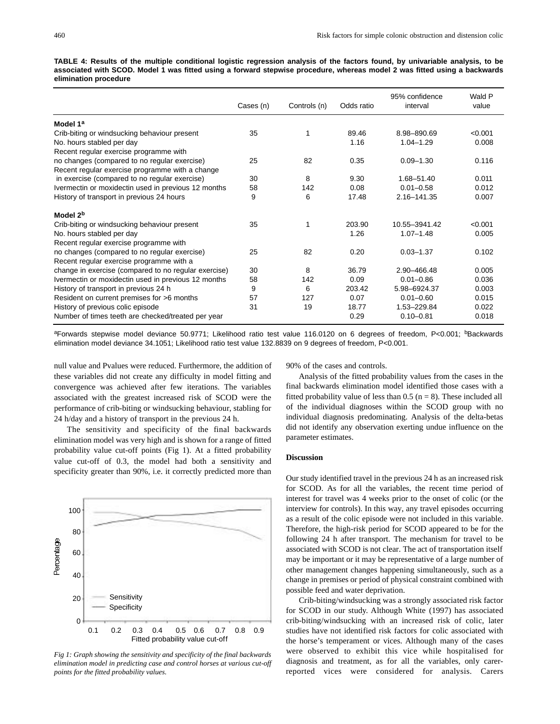| TABLE 4: Results of the multiple conditional logistic regression analysis of the factors found, by univariable analysis, to be |  |  |  |  |  |  |  |
|--------------------------------------------------------------------------------------------------------------------------------|--|--|--|--|--|--|--|
| associated with SCOD. Model 1 was fitted using a forward stepwise procedure, whereas model 2 was fitted using a backwards      |  |  |  |  |  |  |  |
| elimination procedure                                                                                                          |  |  |  |  |  |  |  |

|                                                      | Cases (n) | Controls (n) | Odds ratio | 95% confidence<br>interval | Wald P<br>value |
|------------------------------------------------------|-----------|--------------|------------|----------------------------|-----------------|
| Model 1 <sup>a</sup>                                 |           |              |            |                            |                 |
| Crib-biting or windsucking behaviour present         | 35        |              | 89.46      | 8.98-890.69                | < 0.001         |
| No. hours stabled per day                            |           |              | 1.16       | $1.04 - 1.29$              | 0.008           |
| Recent regular exercise programme with               |           |              |            |                            |                 |
| no changes (compared to no regular exercise)         | 25        | 82           | 0.35       | $0.09 - 1.30$              | 0.116           |
| Recent regular exercise programme with a change      |           |              |            |                            |                 |
| in exercise (compared to no regular exercise)        | 30        | 8            | 9.30       | 1.68-51.40                 | 0.011           |
| Ivermectin or moxidectin used in previous 12 months  | 58        | 142          | 0.08       | $0.01 - 0.58$              | 0.012           |
| History of transport in previous 24 hours            | 9         | 6            | 17.48      | 2.16-141.35                | 0.007           |
| Model 2 <sup>b</sup>                                 |           |              |            |                            |                 |
| Crib-biting or windsucking behaviour present         | 35        | 1            | 203.90     | 10.55-3941.42              | < 0.001         |
| No. hours stabled per day                            |           |              | 1.26       | $1.07 - 1.48$              | 0.005           |
| Recent regular exercise programme with               |           |              |            |                            |                 |
| no changes (compared to no regular exercise)         | 25        | 82           | 0.20       | $0.03 - 1.37$              | 0.102           |
| Recent regular exercise programme with a             |           |              |            |                            |                 |
| change in exercise (compared to no regular exercise) | 30        | 8            | 36.79      | 2.90-466.48                | 0.005           |
| Ivermectin or moxidectin used in previous 12 months  | 58        | 142          | 0.09       | $0.01 - 0.86$              | 0.036           |
| History of transport in previous 24 h                | 9         | 6            | 203.42     | 5.98-6924.37               | 0.003           |
| Resident on current premises for >6 months           | 57        | 127          | 0.07       | $0.01 - 0.60$              | 0.015           |
| History of previous colic episode                    | 31        | 19           | 18.77      | 1.53-229.84                | 0.022           |
| Number of times teeth are checked/treated per year   |           |              | 0.29       | $0.10 - 0.81$              | 0.018           |

<sup>a</sup>Forwards stepwise model deviance 50.9771; Likelihood ratio test value 116.0120 on 6 degrees of freedom, P<0.001; <sup>b</sup>Backwards elimination model deviance 34.1051; Likelihood ratio test value 132.8839 on 9 degrees of freedom, P<0.001.

null value and Pvalues were reduced. Furthermore, the addition of these variables did not create any difficulty in model fitting and convergence was achieved after few iterations. The variables associated with the greatest increased risk of SCOD were the performance of crib-biting or windsucking behaviour, stabling for 24 h/day and a history of transport in the previous 24 h.

The sensitivity and specificity of the final backwards elimination model was very high and is shown for a range of fitted probability value cut-off points (Fig 1). At a fitted probability value cut-off of 0.3, the model had both a sensitivity and specificity greater than 90%, i.e. it correctly predicted more than



Fig 1: Graph showing the sensitivity and specificity of the final backwards elimination model in predicting case and control horses at various cut-off points for the fitted probability values.

90% of the cases and controls.

Analysis of the fitted probability values from the cases in the final backwards elimination model identified those cases with a fitted probability value of less than 0.5 ( $n = 8$ ). These included all of the individual diagnoses within the SCOD group with no individual diagnosis predominating. Analysis of the delta-betas did not identify any observation exerting undue influence on the parameter estimates.

## **Discussion**

Our study identified travel in the previous 24 h as an increased risk for SCOD. As for all the variables, the recent time period of interest for travel was 4 weeks prior to the onset of colic (or the interview for controls). In this way, any travel episodes occurring as a result of the colic episode were not included in this variable. Therefore, the high-risk period for SCOD appeared to be for the following 24 h after transport. The mechanism for travel to be associated with SCOD is not clear. The act of transportation itself may be important or it may be representative of a large number of other management changes happening simultaneously, such as a change in premises or period of physical constraint combined with possible feed and water deprivation.

Crib-biting/windsucking was a strongly associated risk factor for SCOD in our study. Although White (1997) has associated crib-biting/windsucking with an increased risk of colic, later studies have not identified risk factors for colic associated with the horse's temperament or vices. Although many of the cases were observed to exhibit this vice while hospitalised for diagnosis and treatment, as for all the variables, only carerreported vices were considered for analysis. Carers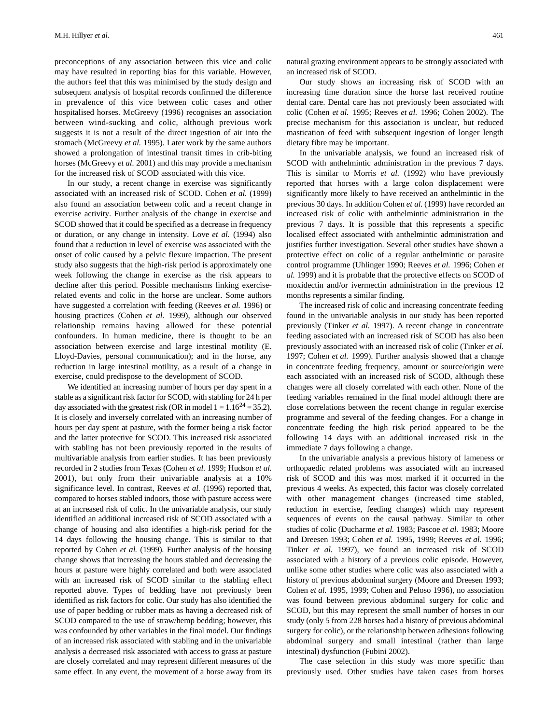preconceptions of any association between this vice and colic may have resulted in reporting bias for this variable. However, the authors feel that this was minimised by the study design and subsequent analysis of hospital records confirmed the difference in prevalence of this vice between colic cases and other hospitalised horses. McGreevy (1996) recognises an association between wind-sucking and colic, although previous work suggests it is not a result of the direct ingestion of air into the stomach (McGreevy et al. 1995). Later work by the same authors showed a prolongation of intestinal transit times in crib-biting horses (McGreevy et al. 2001) and this may provide a mechanism for the increased risk of SCOD associated with this vice.

In our study, a recent change in exercise was significantly associated with an increased risk of SCOD. Cohen et al. (1999) also found an association between colic and a recent change in exercise activity. Further analysis of the change in exercise and SCOD showed that it could be specified as a decrease in frequency or duration, or any change in intensity. Love et al. (1994) also found that a reduction in level of exercise was associated with the onset of colic caused by a pelvic flexure impaction. The present study also suggests that the high-risk period is approximately one week following the change in exercise as the risk appears to decline after this period. Possible mechanisms linking exerciserelated events and colic in the horse are unclear. Some authors have suggested a correlation with feeding (Reeves et al. 1996) or housing practices (Cohen et al. 1999), although our observed relationship remains having allowed for these potential confounders. In human medicine, there is thought to be an association between exercise and large intestinal motility (E. Lloyd-Davies, personal communication); and in the horse, any reduction in large intestinal motility, as a result of a change in exercise, could predispose to the development of SCOD.

We identified an increasing number of hours per day spent in a stable as a significant risk factor for SCOD, with stabling for 24 h per day associated with the greatest risk (OR in model  $1 = 1.16^{24} = 35.2$ ). It is closely and inversely correlated with an increasing number of hours per day spent at pasture, with the former being a risk factor and the latter protective for SCOD. This increased risk associated with stabling has not been previously reported in the results of multivariable analysis from earlier studies. It has been previously recorded in 2 studies from Texas (Cohen et al. 1999; Hudson et al. 2001), but only from their univariable analysis at a 10% significance level. In contrast, Reeves et al. (1996) reported that, compared to horses stabled indoors, those with pasture access were at an increased risk of colic. In the univariable analysis, our study identified an additional increased risk of SCOD associated with a change of housing and also identifies a high-risk period for the 14 days following the housing change. This is similar to that reported by Cohen et al. (1999). Further analysis of the housing change shows that increasing the hours stabled and decreasing the hours at pasture were highly correlated and both were associated with an increased risk of SCOD similar to the stabling effect reported above. Types of bedding have not previously been identified as risk factors for colic. Our study has also identified the use of paper bedding or rubber mats as having a decreased risk of SCOD compared to the use of straw/hemp bedding; however, this was confounded by other variables in the final model. Our findings of an increased risk associated with stabling and in the univariable analysis a decreased risk associated with access to grass at pasture are closely correlated and may represent different measures of the same effect. In any event, the movement of a horse away from its natural grazing environment appears to be strongly associated with an increased risk of SCOD.

Our study shows an increasing risk of SCOD with an increasing time duration since the horse last received routine dental care. Dental care has not previously been associated with colic (Cohen et al. 1995; Reeves et al. 1996; Cohen 2002). The precise mechanism for this association is unclear, but reduced mastication of feed with subsequent ingestion of longer length dietary fibre may be important.

In the univariable analysis, we found an increased risk of SCOD with anthelmintic administration in the previous 7 days. This is similar to Morris et al. (1992) who have previously reported that horses with a large colon displacement were significantly more likely to have received an anthelmintic in the previous 30 days. In addition Cohen et al. (1999) have recorded an increased risk of colic with anthelmintic administration in the previous 7 days. It is possible that this represents a specific localised effect associated with anthelmintic administration and justifies further investigation. Several other studies have shown a protective effect on colic of a regular anthelmintic or parasite control programme (Uhlinger 1990; Reeves et al. 1996; Cohen et al. 1999) and it is probable that the protective effects on SCOD of moxidectin and/or ivermectin administration in the previous 12 months represents a similar finding.

The increased risk of colic and increasing concentrate feeding found in the univariable analysis in our study has been reported previously (Tinker et al. 1997). A recent change in concentrate feeding associated with an increased risk of SCOD has also been previously associated with an increased risk of colic (Tinker et al. 1997; Cohen et al. 1999). Further analysis showed that a change in concentrate feeding frequency, amount or source/origin were each associated with an increased risk of SCOD, although these changes were all closely correlated with each other. None of the feeding variables remained in the final model although there are close correlations between the recent change in regular exercise programme and several of the feeding changes. For a change in concentrate feeding the high risk period appeared to be the following 14 days with an additional increased risk in the immediate 7 days following a change.

In the univariable analysis a previous history of lameness or orthopaedic related problems was associated with an increased risk of SCOD and this was most marked if it occurred in the previous 4 weeks. As expected, this factor was closely correlated with other management changes (increased time stabled, reduction in exercise, feeding changes) which may represent sequences of events on the causal pathway. Similar to other studies of colic (Ducharme et al. 1983; Pascoe et al. 1983; Moore and Dreesen 1993; Cohen et al. 1995, 1999; Reeves et al. 1996; Tinker et al. 1997), we found an increased risk of SCOD associated with a history of a previous colic episode. However, unlike some other studies where colic was also associated with a history of previous abdominal surgery (Moore and Dreesen 1993; Cohen et al. 1995, 1999; Cohen and Peloso 1996), no association was found between previous abdominal surgery for colic and SCOD, but this may represent the small number of horses in our study (only 5 from 228 horses had a history of previous abdominal surgery for colic), or the relationship between adhesions following abdominal surgery and small intestinal (rather than large intestinal) dysfunction (Fubini 2002).

The case selection in this study was more specific than previously used. Other studies have taken cases from horses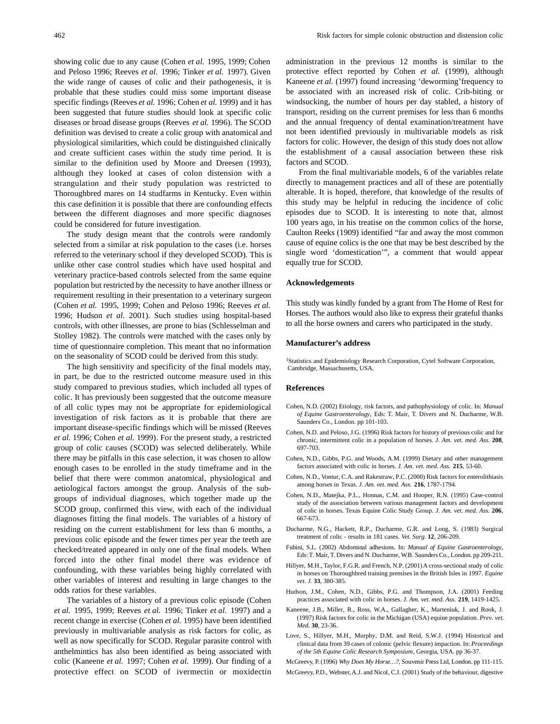showing colic due to any cause (Cohen et al. 1995, 1999; Cohen and Peloso 1996; Reeves et al. 1996; Tinker et al. 1997). Given the wide range of causes of colic and their pathogenesis, it is probable that these studies could miss some important disease specific findings (Reeves et al. 1996; Cohen et al. 1999) and it has been suggested that future studies should look at specific colic diseases or broad disease groups (Reeves et al. 1996). The SCOD definition was devised to create a colic group with anatomical and physiological similarities, which could be distinguished clinically and create sufficient cases within the study time period. It is similar to the definition used by Moore and Dreesen (1993), although they looked at cases of colon distension with a strangulation and their study population was restricted to Thoroughbred mares on 14 studfarms in Kentucky. Even within this case definition it is possible that there are confounding effects between the different diagnoses and more specific diagnoses could be considered for future investigation.

The study design meant that the controls were randomly selected from a similar at risk population to the cases (i.e. horses referred to the veterinary school if they developed SCOD). This is unlike other case control studies which have used hospital and veterinary practice-based controls selected from the same equine population but restricted by the necessity to have another illness or requirement resulting in their presentation to a veterinary surgeon (Cohen et al. 1995, 1999; Cohen and Peloso 1996; Reeves et al. 1996; Hudson et al. 2001). Such studies using hospital-based controls, with other illnesses, are prone to bias (Schlesselman and Stolley 1982). The controls were matched with the cases only by time of questionnaire completion. This meant that no information on the seasonality of SCOD could be derived from this study.

The high sensitivity and specificity of the final models may, in part, be due to the restricted outcome measure used in this study compared to previous studies, which included all types of colic. It has previously been suggested that the outcome measure of all colic types may not be appropriate for epidemiological investigation of risk factors as it is probable that there are important disease-specific findings which will be missed (Reeves et al. 1996; Cohen et al. 1999). For the present study, a restricted group of colic causes (SCOD) was selected deliberately. While there may be pitfalls in this case selection, it was chosen to allow enough cases to be enrolled in the study timeframe and in the belief that there were common anatomical, physiological and aetiological factors amongst the group. Analysis of the subgroups of individual diagnoses, which together made up the SCOD group, confirmed this view, with each of the individual diagnoses fitting the final models. The variables of a history of residing on the current establishment for less than 6 months, a previous colic episode and the fewer times per year the teeth are checked/treated appeared in only one of the final models. When forced into the other final model there was evidence of confounding, with these variables being highly correlated with other variables of interest and resulting in large changes to the odds ratios for these variables.

The variables of a history of a previous colic episode (Cohen et al. 1995, 1999; Reeves et al. 1996; Tinker et al. 1997) and a recent change in exercise (Cohen et al. 1995) have been identified previously in multivariable analysis as risk factors for colic, as well as now specifically for SCOD. Regular parasite control with anthelmintics has also been identified as being associated with colic (Kaneene et al. 1997; Cohen et al. 1999). Our finding of a protective effect on SCOD of ivermectin or moxidectin administration in the previous 12 months is similar to the protective effect reported by Cohen et al. (1999), although Kaneene et al. (1997) found increasing 'deworming' frequency to be associated with an increased risk of colic. Crib-biting or windsucking, the number of hours per day stabled, a history of transport, residing on the current premises for less than 6 months and the annual frequency of dental examination/treatment have not been identified previously in multivariable models as risk factors for colic. However, the design of this study does not allow the establishment of a causal association between these risk factors and SCOD.

From the final multivariable models, 6 of the variables relate directly to management practices and all of these are potentially alterable. It is hoped, therefore, that knowledge of the results of this study may be helpful in reducing the incidence of colic episodes due to SCOD. It is interesting to note that, almost 100 years ago, in his treatise on the common colics of the horse, Caulton Reeks (1909) identified "far and away the most common cause of equine colics is the one that may be best described by the single word 'domestication'", a comment that would appear equally true for SCOD.

#### **Acknowledgements**

This study was kindly funded by a grant from The Home of Rest for Horses. The authors would also like to express their grateful thanks to all the horse owners and carers who participated in the study.

#### **Manufacturer's address**

<sup>1</sup>Statistics and Epidemiology Research Corporation, Cytel Software Corporation, Cambridge, Massachusetts, USA.

#### **References**

- Cohen, N.D. (2002) Etiology, risk factors, and pathophysiology of colic. In: Manual of Equine Gastroenterology, Eds: T. Mair, T. Divers and N. Ducharme, W.B. Saunders Co., London. pp 101-103.
- Cohen, N.D. and Peloso, J.G. (1996) Risk factors for history of previous colic and for chronic, intermittent colic in a population of horses. J. Am. vet. med. Ass. 208, 697-703.
- Cohen, N.D., Gibbs, P.G. and Woods, A.M. (1999) Dietary and other management factors associated with colic in horses. J. Am. vet. med. Ass. 215, 53-60.
- Cohen, N.D., Vontur, C.A. and Rakestraw, P.C. (2000) Risk factors for enterolithiasis among horses in Texas. J. Am. vet. med. Ass. 216, 1787-1794.
- Cohen, N.D., Matejka, P.L., Honnas, C.M. and Hooper, R.N. (1995) Case-control study of the association between various management factors and development of colic in horses. Texas Equine Colic Study Group. J. Am. vet. med. Ass. 206, 667-673.
- Ducharme, N.G., Hackett, R.P., Ducharme, G.R. and Long, S. (1983) Surgical treatment of colic - results in 181 cases. Vet. Surg. 12, 206-209.
- Fubini, S.L. (2002) Abdominal adhesions. In: Manual of Equine Gastroenterology, Eds: T. Mair, T. Divers and N. Ducharme, W.B. Saunders Co., London. pp 209-211.
- Hillyer, M.H., Taylor, F.G.R. and French, N.P. (2001) A cross-sectional study of colic in horses on Thoroughbred training premises in the British Isles in 1997. Equine vet. J. 33, 380-385.
- Hudson, J.M., Cohen, N.D., Gibbs, P.G. and Thompson, J.A. (2001) Feeding practices associated with colic in horses. J. Am. vet. med. Ass. 219, 1419-1425.
- Kaneene, J.B., Miller, R., Ross, W.A., Gallagher, K., Marteniuk, J. and Rook, J. (1997) Risk factors for colic in the Michigan (USA) equine population. Prev. vet. Med. 30, 23-36.
- Love, S., Hillyer, M.H., Murphy, D.M. and Reid, S.W.J. (1994) Historical and clinical data from 39 cases of colonic (pelvic flexure) impaction. In: Proceedings of the 5th Equine Colic Research Symposium, Georgia, USA. pp 36-37.

McGreevy, P. (1996) Why Does My Horse...?, Souvenir Press Ltd, London. pp 111-115. McGreevy, P.D., Webster, A.J. and Nicol, C.J. (2001) Study of the behaviour, digestive